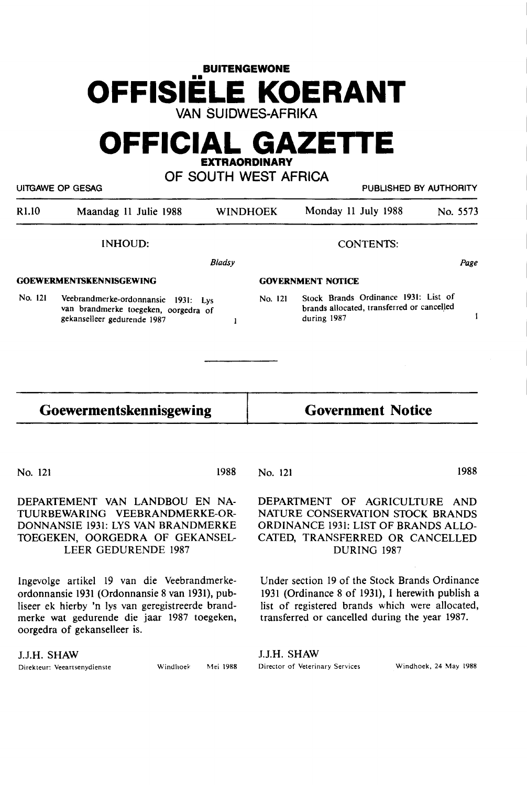# **BUITENGEWONE OFFISIELE KOERANT VAN SUIDWES-AFRIKA**

# **OFFICIAL GAZETTE EXTRAORDINARY**

**OF SOUTH WEST AFRICA** 

|         | UITGAWE OP GESAG                                                                                           |                 |         | PUBLISHED BY AUTHORITY                                                                            |          |
|---------|------------------------------------------------------------------------------------------------------------|-----------------|---------|---------------------------------------------------------------------------------------------------|----------|
| R1.10   | Maandag 11 Julie 1988                                                                                      | <b>WINDHOEK</b> |         | Monday 11 July 1988                                                                               | No. 5573 |
|         | INHOUD:                                                                                                    |                 |         | <b>CONTENTS:</b>                                                                                  |          |
|         |                                                                                                            | <b>Bladsy</b>   |         |                                                                                                   | Page     |
|         | GOEWERMENTSKENNISGEWING                                                                                    |                 |         | <b>GOVERNMENT NOTICE</b>                                                                          |          |
| No. 121 | Veebrandmerke-ordonnansie 1931: Lys<br>van brandmerke toegeken, oorgedra of<br>gekanselleer gedurende 1987 |                 | No. 121 | Stock Brands Ordinance 1931: List of<br>brands allocated, transferred or cancelled<br>during 1987 |          |
|         | Goewermentskennisgewing                                                                                    |                 |         | <b>Government Notice</b>                                                                          |          |

No. 121 1988

No. 121

1988

DEPARTEMENT VAN LANDBOU EN NA-TUURBEWARING VEEBRANDMERKE-OR-DONNANSIE 1931: LYS VAN BRANDMERKE TDEGEKEN, OORGEDRA OF GEKANSEL-LEER GEDURENDE 1987

lngevolge artikel 19 van die Veebrandmerkeordonnansie 1931 (Ordonnansie 8 van 1931), publiseer ek hierby 'n lys van geregistreerde brandmerke wat gedurende die jaar 1987 toegeken, oorgedra of gekanselleer is.

J.J.H. SHAW

Direkteur: Veeartsenydienste Windhoek Mei **1988** 

DEPARTMENT OF AGRICULTURE AND NATURE CONSERVATION STOCK BRANDS ORDINANCE 193i: LIST OF **BRANDS** ALLO-CATED, TRANSFERRED OR CANCELLED DURING 1987

Under section 19 of the Stock Brands Ordinance 1931 (Ordinance 8 of 1931), I herewith publish a list of registered brands which were allocated, transferred or cancelled during the year 1987.

J.J.H. SHAW Director of Veterinary Services Windhoek, 24 May **1988**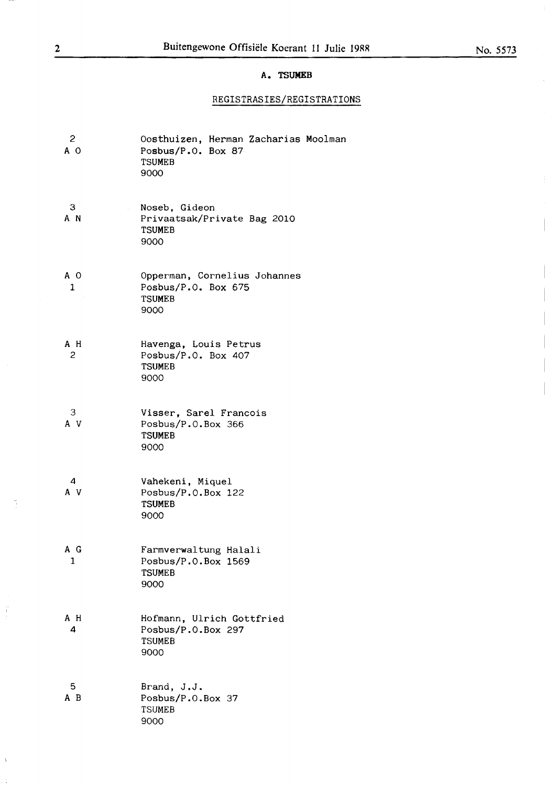#### **A. TSUMEB**

# REGISTRASIES/REGISTRATIONS

| 2<br>A O | Oosthuizen, Herman Zacharias Moolman<br>Posbus/ $P.0.$ Box 87<br><b>TSUMEB</b><br>9000 |
|----------|----------------------------------------------------------------------------------------|
| 3<br>A N | Noseb, Gideon<br>Privaatsak/Private Bag 2010<br><b>TSUMEB</b><br>9000                  |
| A O<br>1 | Opperman, Cornelius Johannes<br>Posbus/P.O. Box 675<br><b>TSUMEB</b><br>9000           |
| A H<br>2 | Havenga, Louis Petrus<br>Posbus/P.O. Box 407<br><b>TSUMEB</b><br>9000                  |
| 3<br>A V | Visser, Sarel Francois<br>Posbus/P.O.Box 366<br><b>TSUMEB</b><br>9000                  |
| 4<br>A V | Vahekeni, Miquel<br>Posbus/P.O.Box 122<br><b>TSUMEB</b><br>9000                        |
| A G<br>1 | Farmverwaltung Halali<br>Posbus/P.O.Box 1569<br><b>TSUMEB</b><br>9000                  |
| A H<br>4 | Hofmann, Ulrich Gottfried<br>Posbus/P.O.Box 297<br><b>TSUMEB</b><br>9000               |
| 5<br>AВ  | Brand, J.J.<br>Posbus/P.O.Box 37<br><b>TSUMEB</b><br>9000                              |

 $\frac{a}{2}$ 

 $\frac{1}{2}$ 

 $\bar{V}$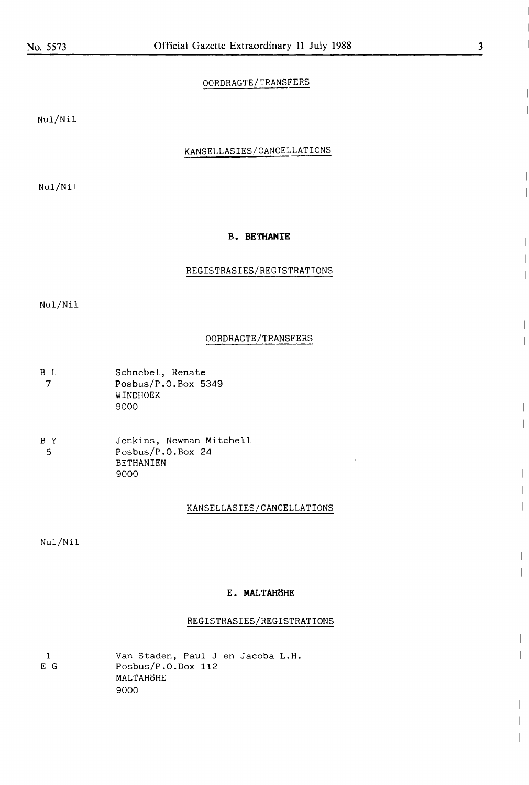#### OORDRAGTE/TRANSFERS

Nul/Nil

#### KANSELLASIES/CANCELLATIONS

Nul/Nil

#### **B. BETHANIE**

#### REGISTRASIES/REGISTRATIONS

Nul/Nil

#### OORDRAGTE/TRANSFERS

| B L | Schnebel, Renate        |
|-----|-------------------------|
| - 7 | Posbus/ $P.0.$ Box 5349 |
|     | WINDHOEK                |
|     | 9000                    |

| ВY | Jenkins, Newman Mitchell |
|----|--------------------------|
| -5 | Posbus/ $P.0.$ Box 24    |
|    | <b>BETHANIEN</b>         |
|    | ദറററ                     |

#### **KANSELLASIES/CANCELLATIONS**

Nul/Nil

#### **E. MALTAHoHE**

#### REGISTRASIES/REGISTRATIONS

|    | Van Staden, Paul J en Jacoba L.H. |
|----|-----------------------------------|
| ЕG | Posbus/ $P.0.$ Box 112            |
|    | MALTAHÖHE                         |
|    | റററ                               |

 $\begin{array}{c} \hline \end{array}$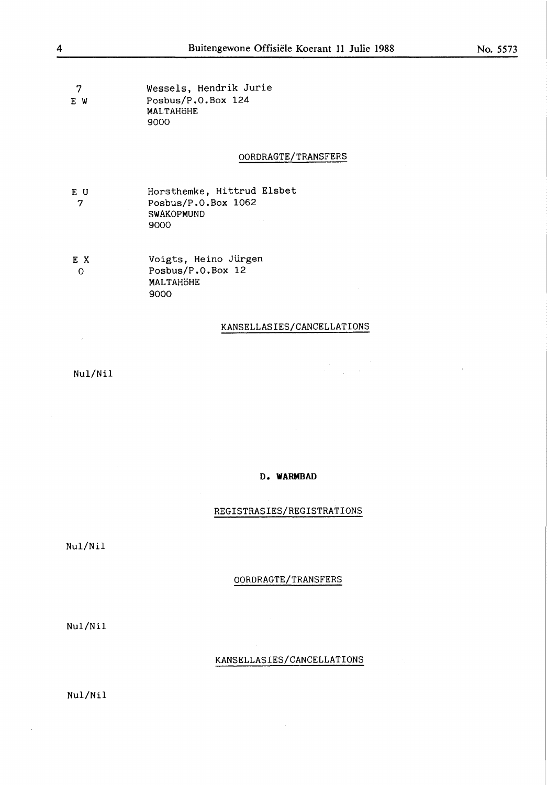7 E **W**  Wessels, Hendrik Jurie Posbus/P.0.Box 124 MALTAHÖHE 9000

#### 00RDRAGTE/TRANSFERS

- E U 7 Horsthemke, Hittrud Elsbet Posbus/P.0.Box 1062 **SWAK0PMUND**  9000
- E X 0 Voigts, Heino Jürgen Posbus/P.0.Box 12 MALTAHÖHE 9000

#### KANSELLASIES/CANCELLATI0NS

 $\frac{1}{2} \left( \frac{1}{2} \right)$  ,  $\frac{1}{2} \left( \frac{1}{2} \right)$ 

Nul/Nil

 $\sim$ 

#### D. **WARMBAD**

#### REGISTRASIES/REGISTRATI0NS

Nul/Nil

#### 00RDRAGTE/TRANSFERS

Nul/Nil

#### KANSELLASIES/CANCELLATI0NS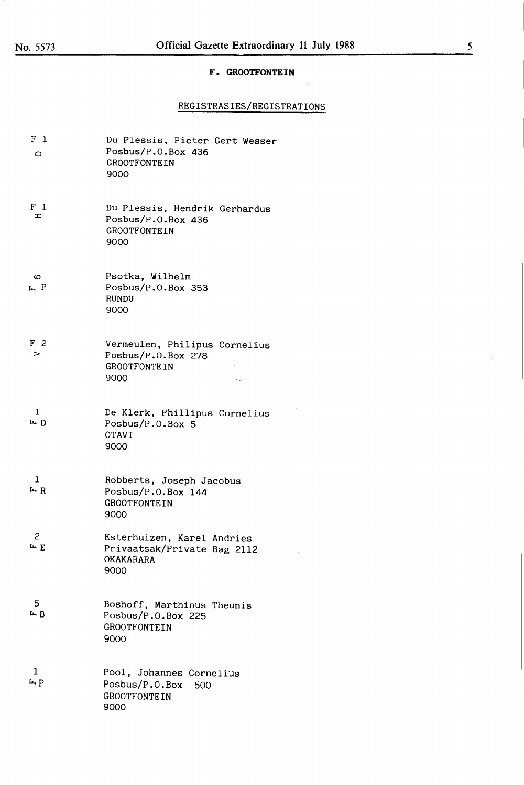#### **F. GROOTFONTEIN**

#### REGISTRASIES/REGISTRATI0NS

| $F_1$<br>$\Omega$           | Du Plessis, Pieter Gert Wesser<br>Posbus/P.O.Box 436<br>GROOTFONTEIN<br>9000       |
|-----------------------------|------------------------------------------------------------------------------------|
| $F_1$<br>H                  | Du Plessis, Hendrik Gerhardus<br>Posbus/P.O.Box 436<br><b>GROOTFONTEIN</b><br>9000 |
| ဖ<br>ta P                   | Psotka, Wilhelm<br>Posbus/P.O.Box 353<br><b>RUNDU</b><br>9000                      |
| F <sub>2</sub><br>>         | Vermeulen, Philipus Cornelius<br>Posbus/P.O.Box 278<br><b>GROOTFONTEIN</b><br>9000 |
| $\mathbf{1}$<br>$F \cdot D$ | De Klerk, Phillipus Cornelius<br>Posbus/P.O.Box 5<br><b>OTAVI</b><br>9000          |
| $\mathbf{1}$<br>$F$ R       | Robberts, Joseph Jacobus<br>Posbus/P.O.Box 144<br><b>GROOTFONTEIN</b><br>9000      |
| 2<br>$F$ $E$                | Esterhuizen, Karel Andries<br>Privaatsak/Private Bag 2112<br>OKAKARARA<br>9000     |
| 5.<br>$F \nightharpoonup B$ | Boshoff, Marthinus Theunis<br>Posbus/ $P.0.$ Box 225<br>GROOTFONTEIN<br>9000       |
| 1<br>$F \rightarrow P$      | Pool, Johannes Cornelius<br>Posbus/P.O.Box<br>500<br><b>GROOTFONTEIN</b><br>9000   |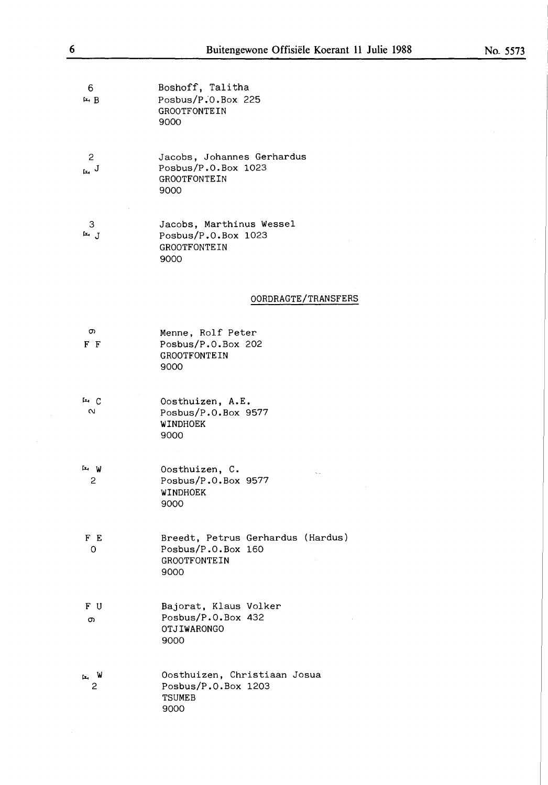6 tz..B Boshoff, Talitha Posbus/P;O.Box 225 GROOTFONTEIN 9000

2  $\mathbf{r}$ . J Jacobs, Johannes Gerhardus Posbus/P.O.Box 1023 GROOTFONTEIN 9000

3 tz.. J Jacobs, Marthinus Wessel Posbus/P.O.Box 1023 GROOTFONTEIN 9000

#### OORDRAGTE/TRANSFERS

| თ<br>F F       | Menne, Rolf Peter<br>Posbus/P.O.Box 202<br><b>GROOTFONTEIN</b><br>9000                 |
|----------------|----------------------------------------------------------------------------------------|
| ட்டை<br>$\sim$ | Oosthuizen, A.E.<br>Posbus/P.O.Box 9577<br>WINDHOEK<br>9000                            |
| اب ستا<br>2    | Oosthuizen, C.<br>Posbus/P.O.Box 9577<br>WINDHOEK<br>9000                              |
| F E<br>O       | Breedt, Petrus Gerhardus (Hardus)<br>Posbus/P.O.Box 160<br><b>GROOTFONTEIN</b><br>9000 |
| F U<br>c.      | Bajorat, Klaus Volker<br>Posbus/P.O.Box 432<br><b>OTJIWARONGO</b><br>9000              |
| 2              | Oosthuizen, Christiaan Josua<br>Posbus/P.O.Box 1203<br><b>TSUMEB</b><br>9000           |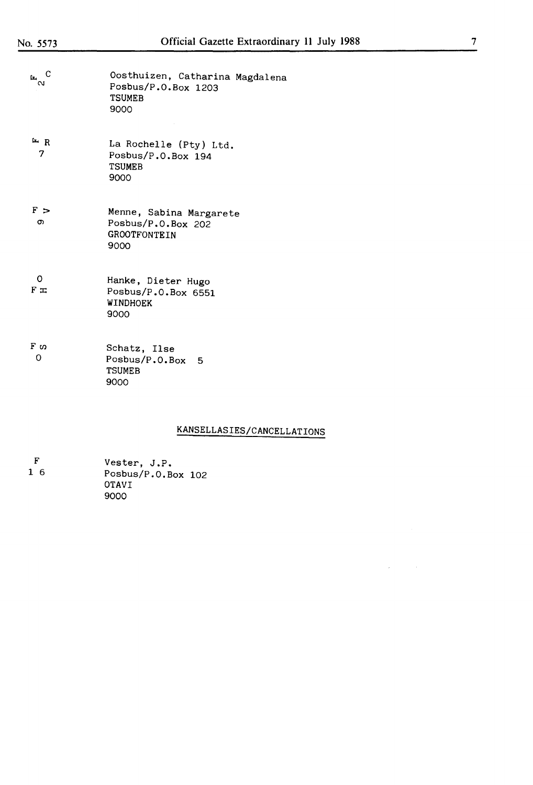| $E^{\circ}$ C            | Oosthuizen, Catharina Magdalena<br>Posbus/P.O.Box 1203<br><b>TSUMEB</b><br>9000 |
|--------------------------|---------------------------------------------------------------------------------|
| H R<br>7                 | La Rochelle (Pty) Ltd.<br>Posbus/P.O.Box 194<br><b>TSUMEB</b><br>9000           |
| F ><br>თ                 | Menne, Sabina Margarete<br>Posbus/P.O.Box 202<br><b>GROOTFONTEIN</b><br>9000    |
| 0<br>$F \nightharpoonup$ | Hanke, Dieter Hugo<br>Posbus/P.O.Box 6551<br><b>WINDHOEK</b><br>9000            |
| F <sub>0</sub><br>O      | Schatz, Ilse<br>Posbus/P.O.Box 5<br><b>TSUMEB</b><br>9000                       |

# KANSELLASIES/CANCELLATIONS

 $\hat{\boldsymbol{r}}$ 

 $\mathcal{A}^{\mathcal{A}}$ 

| ा स | Vester, J.P.       |
|-----|--------------------|
| 16  | Posbus/P.O.Box 102 |
|     | <b>OTAVT</b>       |
|     | 9000               |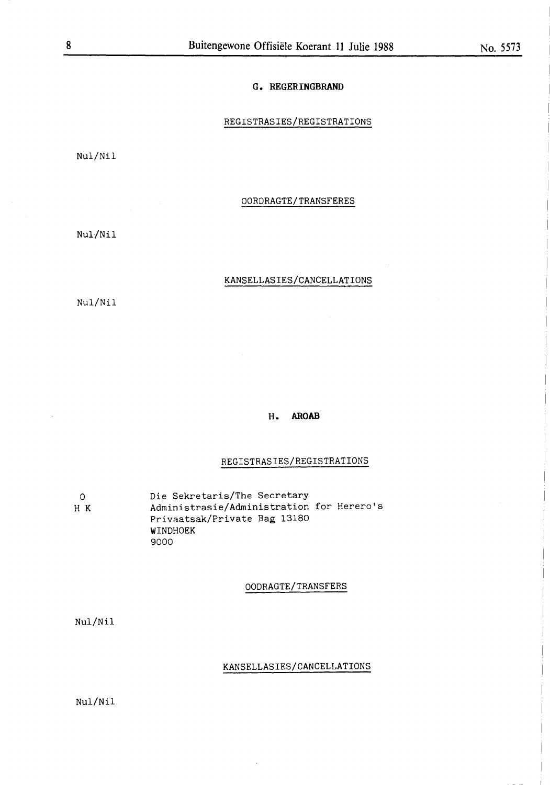#### **G. REGERINGBRAND**

#### REGISTRASIES/REGISTRATIONS

Nul/Nil

#### OORDRAGTE/TRANSFERES

Nul/Nil

#### KANSELLASIES/CANCELLATIONS

Nul/Nil

#### **H. AROAB**

#### REGISTRASIES/REGISTRATIONS

0 H K Die Sekretaris/The Secretary Administrasie/Administration for Herero's Privaatsak/Private Bag 13180 WINDHOEK 9000

#### OODRAGTE/TRANSFERS

Nul/Nil

#### KANSELLASIES/CANCELLATIONS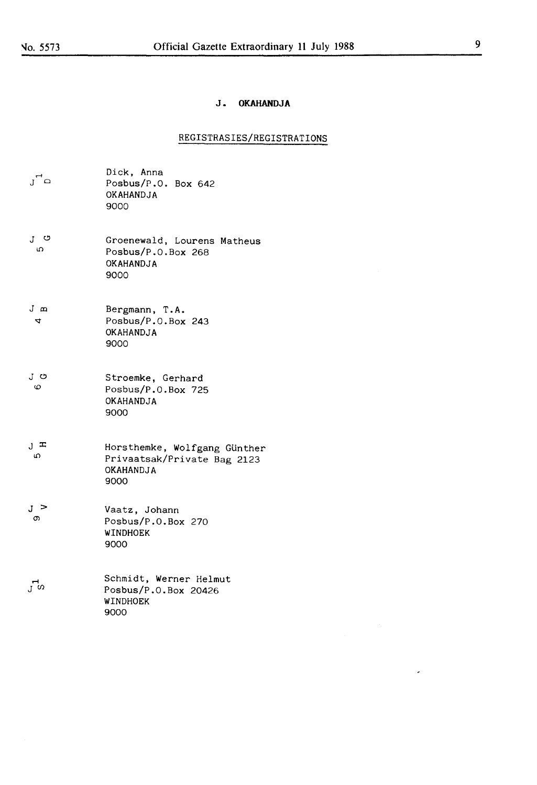## **J. OKAHANDJA**

## REGISTRASIES/REGISTRATIONS

| ി്ല              | Dick, Anna<br>Posbus/P.O. Box 642<br>OKAHANDJA<br>9000                           |
|------------------|----------------------------------------------------------------------------------|
| ၂ ပ<br>ഗ         | Groenewald, Lourens Matheus<br>Posbus/P.O.Box 268<br>OKAHANDJA<br>9000           |
| J m<br>4         | Bergmann, T.A.<br>Posbus/P.O.Box 243<br>OKAHANDJA<br>9000                        |
| J ප<br>0         | Stroemke, Gerhard<br>Posbus/P.O.Box 725<br>OKAHANDJA<br>9000                     |
| $J^{\perp}$<br>ഗ | Horsthemke, Wolfgang Günther<br>Privaatsak/Private Bag 2123<br>OKAHANDJA<br>9000 |
| յ ><br>თ         | Vaatz, Johann<br>Posbus/P.O.Box 270<br>WINDHOEK<br>9000                          |
|                  | Schmidt, Werner Helmut<br>Posbus/P.O.Box 20426<br>WINDHOEK<br>9000               |

 $\star$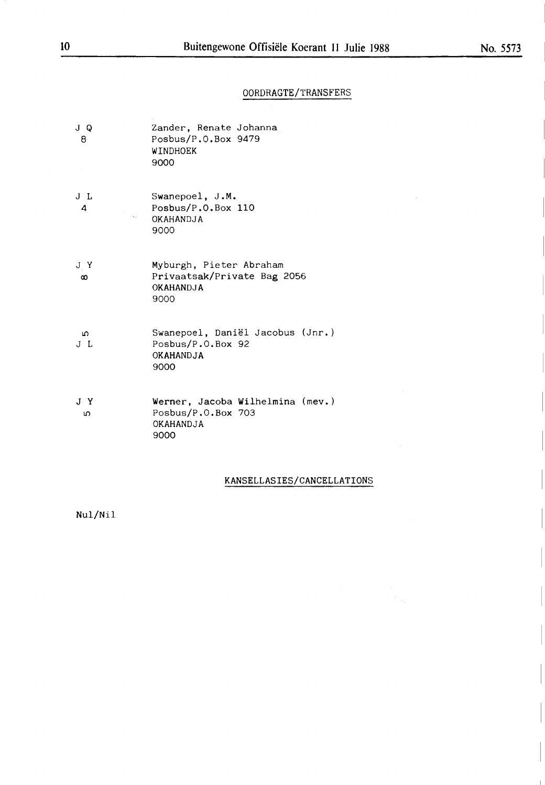# 00RDRAGTE/TRANSFERS

| J Q<br>8        | Zander, Renate Johanna<br>Posbus/P.O.Box 9479<br>WINDHOEK<br>9000                  |
|-----------------|------------------------------------------------------------------------------------|
| J L<br>4        | Swanepoel, J.M.<br>Posbus/P.O.Box 110<br>OKAHANDJA<br>9000                         |
| J Y<br>$\infty$ | Myburgh, Pieter Abraham<br>Privaatsak/Private Bag 2056<br><b>OKAHANDJA</b><br>9000 |
| ഥ<br>JL         | Swanepoel, Daniël Jacobus (Jnr.)<br>Posbus/P.O.Box 92<br>OKAHANDJA<br>9000         |
| JY<br>ഗ         | Werner, Jacoba Wilhelmina (mev.)<br>Posbus/P.O.Box 703<br>OKAHANDJA<br>9000        |

# KANSELLASIES/CANCELLATI0NS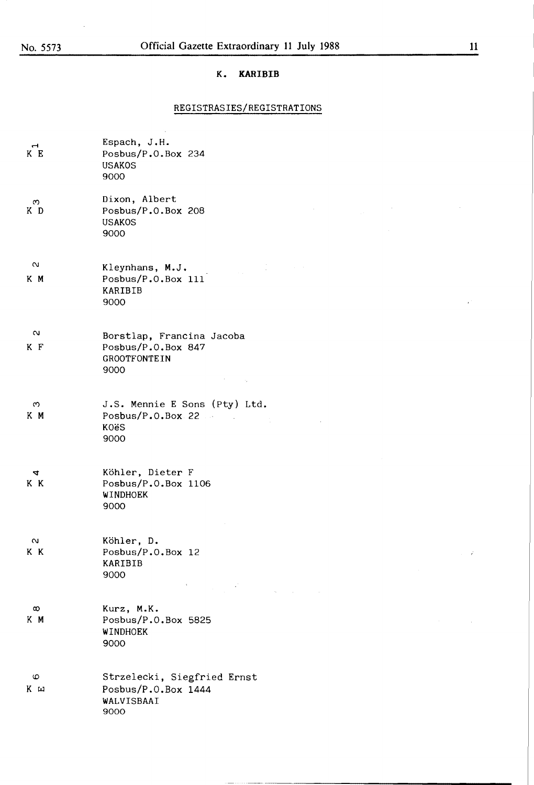$\mathcal{L}$ 

#### **K. KARIBIB**

#### REGISTRASIES/REGISTRATIONS

 $\hat{\boldsymbol{\beta}}$ 

| $\overline{\phantom{0}}$<br>K E | Espach, J.H.<br>Posbus/P.O.Box 234<br><b>USAKOS</b><br>9000                                                                                                                                                                                                                                                                                                                                                                    |
|---------------------------------|--------------------------------------------------------------------------------------------------------------------------------------------------------------------------------------------------------------------------------------------------------------------------------------------------------------------------------------------------------------------------------------------------------------------------------|
| $\infty$<br>K D                 | Dixon, Albert<br>$\sim 10^{11}$ m $^{-1}$<br>Posbus/P.O.Box 208<br>$\sim 10^{-1}$<br><b>USAKOS</b><br>9000                                                                                                                                                                                                                                                                                                                     |
| $\mathbf{\alpha}$<br>K M        | $\mathcal{L}^{\text{max}}_{\text{max}}$ and $\mathcal{L}^{\text{max}}_{\text{max}}$<br>Kleynhans, M.J.<br>Posbus/P.O.Box 111<br>KARIBIB<br>9000                                                                                                                                                                                                                                                                                |
| $\sim$<br>K F                   | Borstlap, Francina Jacoba<br>Posbus/P.O.Box 847<br><b>GROOTFONTEIN</b><br>9000<br><b>Common</b>                                                                                                                                                                                                                                                                                                                                |
| ო<br>K M                        | J.S. Mennie E Sons (Pty) Ltd.<br>Posbus/P.0.Box.22<br>KOëS<br>9000                                                                                                                                                                                                                                                                                                                                                             |
| 4<br>K K                        | Köhler, Dieter F<br>Posbus/P.O.Box 1106<br>WINDHOEK<br>9000                                                                                                                                                                                                                                                                                                                                                                    |
| $\sim$<br>K K                   | Köhler, D.<br>Posbus/P.O.Box 12<br>KARIBIB<br>9000<br>$\label{eq:2.1} \mathbf{P}_{\text{max}}(x) = \frac{1}{2\pi}\sum_{i=1}^{N} \frac{1}{2\pi i} \sum_{i=1}^{N} \frac{1}{2\pi i} \sum_{i=1}^{N} \frac{1}{2\pi i} \sum_{i=1}^{N} \frac{1}{2\pi i} \sum_{i=1}^{N} \frac{1}{2\pi i} \sum_{i=1}^{N} \frac{1}{2\pi i} \sum_{i=1}^{N} \frac{1}{2\pi i} \sum_{i=1}^{N} \frac{1}{2\pi i} \sum_{i=1}^{N} \frac{1}{2\pi i} \sum_{i=1}^{$ |
| $\infty$<br>K M                 | Kurz, M.K.<br>Posbus/P.O.Box 5825<br>WINDHOEK<br>9000                                                                                                                                                                                                                                                                                                                                                                          |
| စ<br>Kш                         | Strzelecki, Siegfried Ernst<br>Posbus/P.O.Box 1444<br>WALVISBAAI<br>9000                                                                                                                                                                                                                                                                                                                                                       |

 $\epsilon$ 

 $\sim$  7

í,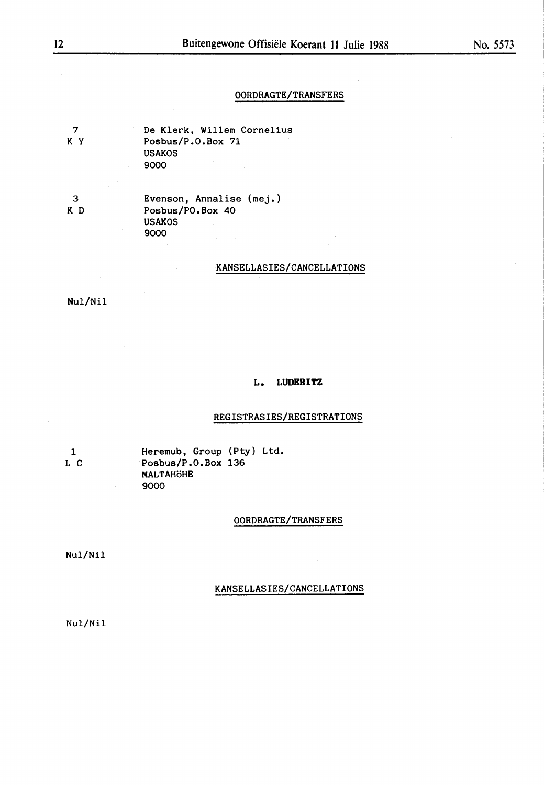#### 00RDRAGTE/TRANSFERS

7 K y De Klerk, Willem Cornelius Posbus/P.0.Box 71 USAK0S 9000

3 K D Evenson, Annalise (mej.) Posbus/P0.Box 40 USAK0S 9000

#### KANSELLASIES/CANCELLATI0NS

Nul/Nil

#### **L. LUDERITZ**

#### REGISTRASIES/REGISTRATI0NS

1 L C Heremub, Group (Pty) Ltd. Posbus/P.0.Box 136 MALTAHÖHE 9000

#### 00RDRAGTE/TRANSFERS

Nul/Nil

#### KANSELLASIES/CANCELLATI0NS

Nul/Nil

i.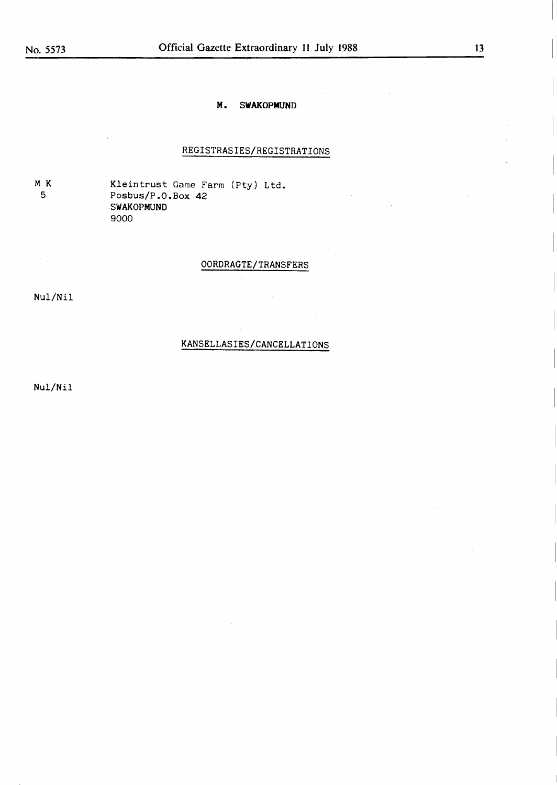#### **M. SWAKOPNUND**

#### REGISTRASIES/REGISTRATIONS

MK 5

Kleintrust Game Farm (Pty) Ltd. Posbus/P.O.Box 42 SWAKOPMUND 9000

OORDRAGTE/TRANSFERS

Nul/Nil

#### KANSELLASIES/CANCELLATIONS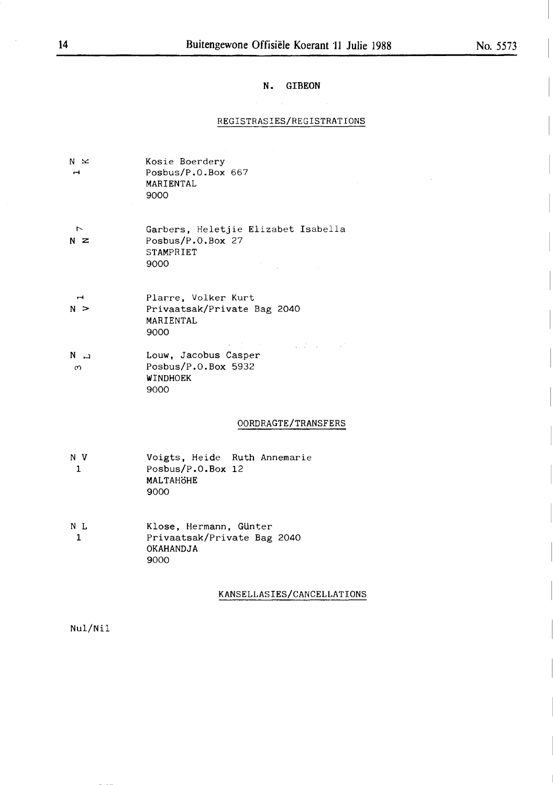## No. 5573

#### **N. GIBEON**

#### REGISTRASIES/REGISTRATIONS

| $N \times$<br>H       | Kosie Boerdery<br>Posbus/P.O.Box 667<br>MARIENTAL<br>9000                            |
|-----------------------|--------------------------------------------------------------------------------------|
| $\overline{r}$<br>N Z | Garbers, Heletjie Elizabet Isabella<br>Posbus/P.O.Box 27<br>STAMPRIET<br>9000        |
| N >                   | Plarre, Volker Kurt<br>Privaatsak/Private Bag 2040<br>MARIENTAL<br>9000              |
| ت N<br>ო              | スト・バー・シー しゅうどうしょう<br>Louw, Jacobus Casper<br>Posbus/P.O.Box 5932<br>WINDHOEK<br>9000 |
|                       | OORDRAGTE/TRANSFERS                                                                  |
| N V                   | Voiete Heide Puth Annemarie                                                          |

- **N V**  1 Voigts, Heide Ruth Annemarie Posbus/P.O.Box 12 **MALTAHoHE**  9000
- **N** L 1 Klose, Hermann, GUnter Privaatsak/Private Bag 2040 **OKAHANDJA**  9000

#### KANSELLASIES/CANCELLATIONS

Nul/Nil

 $\ddot{\phantom{a}}$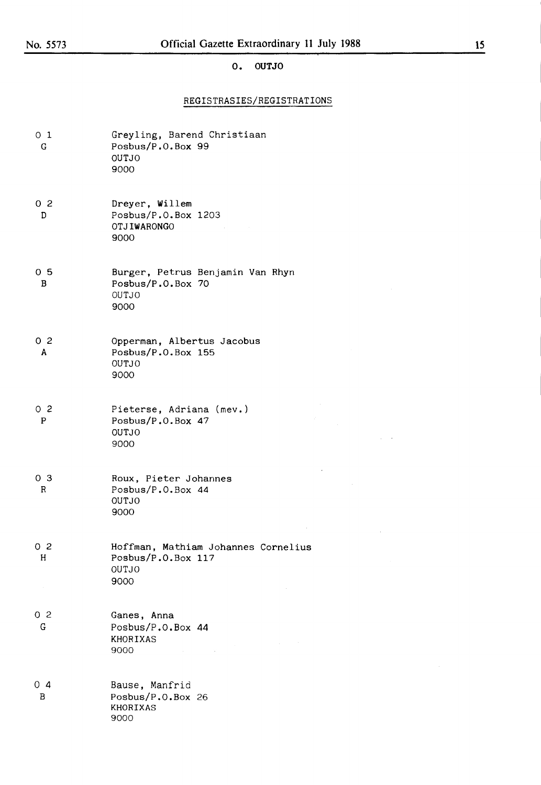## **O. OUTJO**

#### REGISTRASIES/REGISTRATIONS

| 0 <sub>1</sub><br>G.          | Greyling, Barend Christiaan<br>Posbus/P.O.Box 99<br>OUTJO<br>9000                                                                                                                                                                                  |
|-------------------------------|----------------------------------------------------------------------------------------------------------------------------------------------------------------------------------------------------------------------------------------------------|
| 0 <sub>2</sub><br>D           | Dreyer, Willem<br>Posbus/P.O.Box 1203<br>OTJIWARONGO<br>9000                                                                                                                                                                                       |
| 0 <sub>5</sub><br>B           | Burger, Petrus Benjamin Van Rhyn<br>Posbus/P.O.Box 70<br>OUTJO<br>9000                                                                                                                                                                             |
| 0 <sub>2</sub><br>A           | Opperman, Albertus Jacobus<br>Posbus/P.O.Box 155<br><b>OUTJO</b><br>9000                                                                                                                                                                           |
| 0 <sub>2</sub><br>$\mathbf P$ | Pieterse, Adriana (mev.)<br>Posbus/P.O.Box 47<br><b>OUTJO</b><br>9000                                                                                                                                                                              |
| 0 <sub>3</sub><br>R           | Roux, Pieter Johannes<br>Posbus/P.O.Box 44<br><b>OUTJO</b><br>9000                                                                                                                                                                                 |
| 0 <sub>2</sub><br>н<br>$\sim$ | Hoffman, Mathiam Johannes Cornelius<br>Posbus/P.O.Box 117<br>OUTJO<br>9000                                                                                                                                                                         |
| 0 <sub>2</sub><br>G           | Ganes, Anna<br>Posbus/P.O.Box 44<br>KHORIXAS<br>$\sim 10^{11}$ m $^{-1}$<br>$\mathcal{L}^{\mathcal{L}}(\mathcal{L}^{\mathcal{L}})$ and $\mathcal{L}^{\mathcal{L}}(\mathcal{L}^{\mathcal{L}})$<br>9000<br>$\Delta \sim 10^{11}$ m $^{-1}$<br>$\sim$ |
| $0\,4$<br>B                   | Bause, Manfrid<br>Posbus/P.O.Box 26<br><b>KHORIXAS</b><br>9000                                                                                                                                                                                     |

 $\Delta \sim 300$ 

 $\mathcal{L}^{\pm}$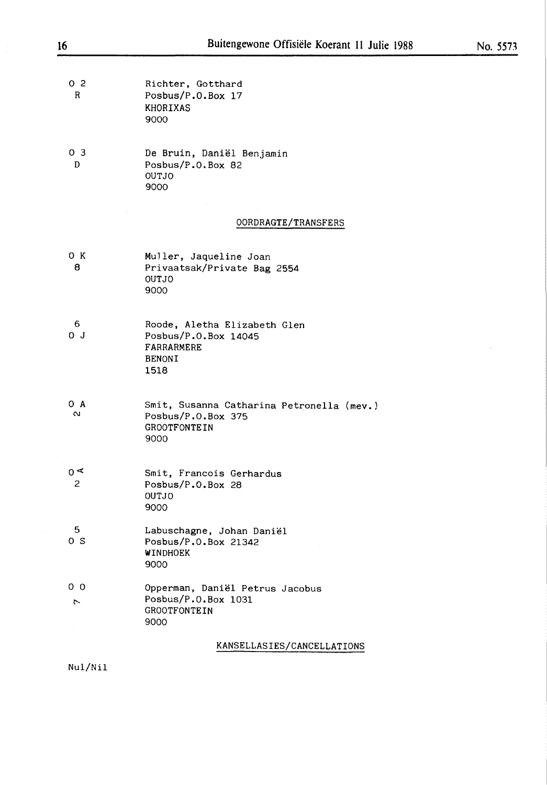| 02<br>R             | Richter, Gotthard<br>Posbus/P.O.Box 17<br>KHORIXAS<br>9000             |
|---------------------|------------------------------------------------------------------------|
| 0 <sub>3</sub><br>D | De Bruin, Daniël Benjamin<br>Posbus/P.O.Box 82<br>OUTJO<br>9000        |
|                     | OORDRAGTE/TRANSFERS                                                    |
| ок<br>8             | Muller, Jaqueline Joan<br>Privaatsak/Private Bag 2554<br>OUTJO<br>9000 |
| 6                   | Roode, Aletha Elizabeth Glen                                           |

| -6  | Roode, Aletha Elizabeth Glen |
|-----|------------------------------|
| ΟJ. | Posbus/P.0.Box $14045$       |
|     | FARRARMERE                   |
|     | <b>BENONI</b>                |
|     | 1518                         |
|     |                              |

| O A               | Smit, Susanna Catharina Petronella (mev.) |
|-------------------|-------------------------------------------|
| $\mathbf{\Omega}$ | Posbus/ $P.0.$ Box 375                    |
|                   | <b>GROOTFONTEIN</b>                       |
|                   | 9000                                      |

| 0 ⋖ | Smit, Francois Gerhardus |  |
|-----|--------------------------|--|
| - 2 | Posbus/P.O.Box 28        |  |
|     | OUTJO                    |  |
|     | 9000                     |  |

- 5 0 S Labuschagne, Johan Daniel Posbus/P.O.Box 21342 **WINDHOEK**  9000
- 0 0 l'- Opperman, Daniël Petrus Jacobus Posbus/P.O.Box 1031 GROOTFONTEIN 9000

KANSELLASIES/CANCELLATIONS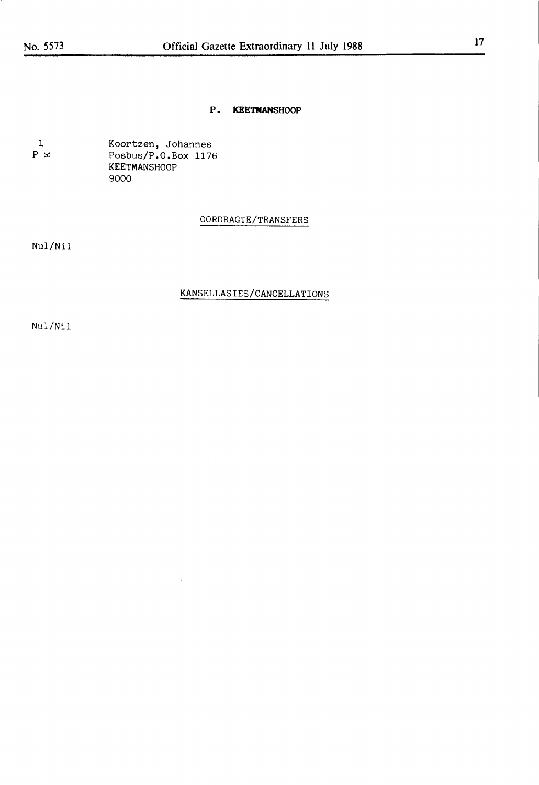#### **P. KEETMANSHOOP**

1  $\, {\bf P} \,$   $\, \times \,$ Koortzen, Johannes Posbus/P.0.Box 1176 KEETMANSH00P 9000

#### 00RDRAGTE/TRANSFERS

Nul/Nil

#### KANSELLASIES/CANCELLATI0NS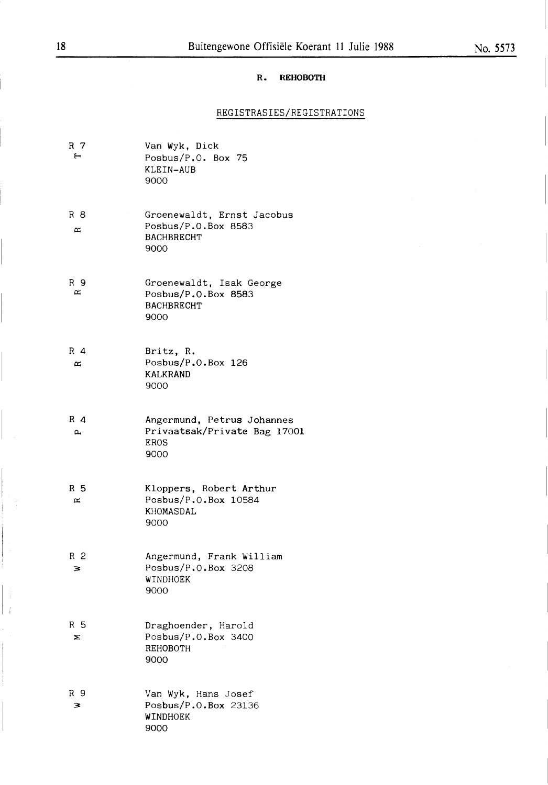## R. REHOBOTH

# REGISTRASIES/REGISTRATIONS

| R 7<br>$\overline{\phantom{0}}$ | Van Wyk, Dick<br>Posbus/P.O. Box 75<br>KLEIN-AUB<br>9000                          |
|---------------------------------|-----------------------------------------------------------------------------------|
| R 8<br>$\approx$                | Groenewaldt, Ernst Jacobus<br>Posbus/P.O.Box 8583<br><b>BACHBRECHT</b><br>9000    |
| R 9<br>≃                        | Groenewaldt, Isak George<br>Posbus/P.O.Box 8583<br><b>BACHBRECHT</b><br>9000      |
| $R$ 4<br>$\approx$              | Britz, R.<br>Posbus/P.O.Box 126<br>KALKRAND<br>9000                               |
| $R$ 4<br>ρ,                     | Angermund, Petrus Johannes<br>Privaatsak/Private Bag 17001<br><b>EROS</b><br>9000 |
| R 5<br>$\simeq$                 | Kloppers, Robert Arthur<br>Posbus/P.O.Box 10584<br>KHOMASDAL<br>9000              |
| R 2<br>3                        | Angermund, Frank William<br>Posbus/P.O.Box 3208<br>WINDHOEK<br>9000               |
| R 5<br>Σ                        | Draghoender, Harold<br>Posbus/P.O.Box 3400<br>REHOBOTH<br>9000                    |
| R 9<br>з                        | Van Wyk, Hans Josef<br>Posbus/P.O.Box 23136<br>WINDHOEK<br>9000                   |

 $\frac{1}{16}$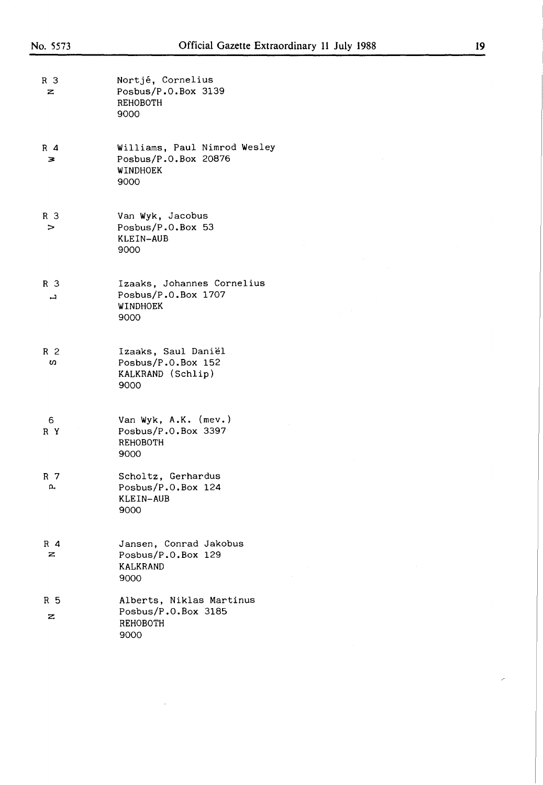| R 3<br>z            | Nortjé, Cornelius<br>Posbus/P.O.Box 3139<br>REHOBOTH<br>9000             |
|---------------------|--------------------------------------------------------------------------|
| $R$ 4<br>3          | Williams, Paul Nimrod Wesley<br>Posbus/P.O.Box 20876<br>WINDHOEK<br>9000 |
| R 3<br>⋗            | Van Wyk, Jacobus<br>Posbus/P.O.Box 53<br>KLEIN-AUB<br>9000               |
| R <sub>3</sub><br>ᆸ | Izaaks, Johannes Cornelius<br>Posbus/P.O.Box 1707<br>WINDHOEK<br>9000    |
| R 2<br>w            | Izaaks, Saul Daniël<br>Posbus/P.O.Box 152<br>KALKRAND (Schlip)<br>9000   |
| 6<br>R Y            | Van Wyk, A.K. (mev.)<br>Posbus/P.O.Box 3397<br>REHOBOTH<br>9000          |
| R 7<br>р,           | Scholtz, Gerhardus<br>Posbus/P.O.Box 124<br>KLEIN-AUB<br>9000            |
| $R$ 4<br>z          | Jansen, Conrad Jakobus<br>Posbus/P.O.Box 129<br>KALKRAND<br>9000         |
| R 5<br>z            | Alberts, Niklas Martinus<br>Posbus/P.O.Box 3185<br>REHOBOTH<br>9000      |

 $\mathcal{L}_{\mathcal{A}}$ 

 $\hat{\mathcal{L}}$ 

 $\hat{\boldsymbol{\beta}}$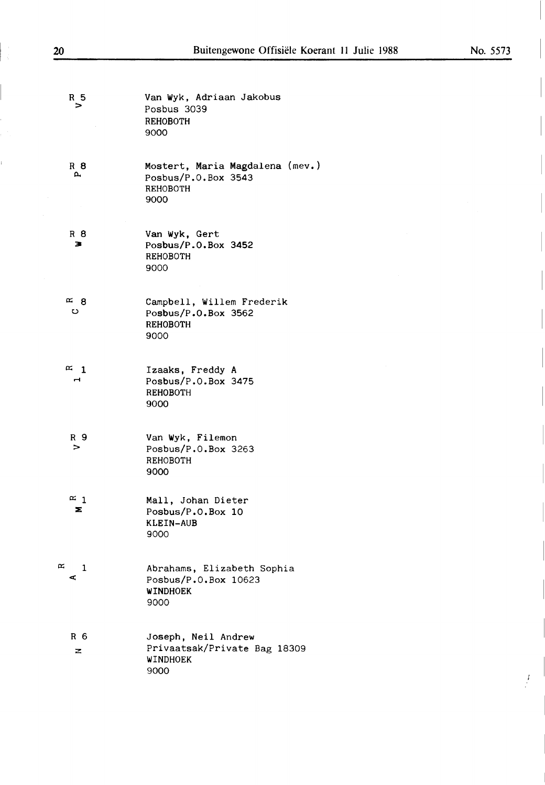- R 5 > R 8  $\mathbf{a}$ Van **Wyk,** Adriaan Jakobus Posbus 3039 REHOBOTH 9000 Mostert, Maria Magdalena (mev.) Posbus/P.O.Box 3543 REHOBOTH
- R 8 **3**  Van **Wyk,** Gert Posbus/P.O.Box 3452 REHOBOTH 9000

9000

- $\approx 8$ **0**  Campbell, **Willem Frederik**  Posbus/P.O.Box 3562 REHOBOTH 9000
- $\alpha$  1  $\blacksquare$ **Izaaks,** Freddy **A**  Posbus/P.O.Box 3475 REHOBOTH 9000
- R 9 > Van **Wyk,** Filemon Posbus/P.O.Box 3263 REHOBOTH 9000
- $\approx$  1 **:E:**  Mall, Johan Dieter Posbus/P.O.Box 10 KLEIN-AUB 9000
- $\infty$  1  $\mathbf{r}$ Abrahams, Elizabeth Sophia Posbus/P.O.Box 10623 WINDHOEK 9000
	- R 6 z Joseph, Neil Andrew Privaatsak/Private Bag 18309 WINDHOEK 9000

 $\frac{1}{2}$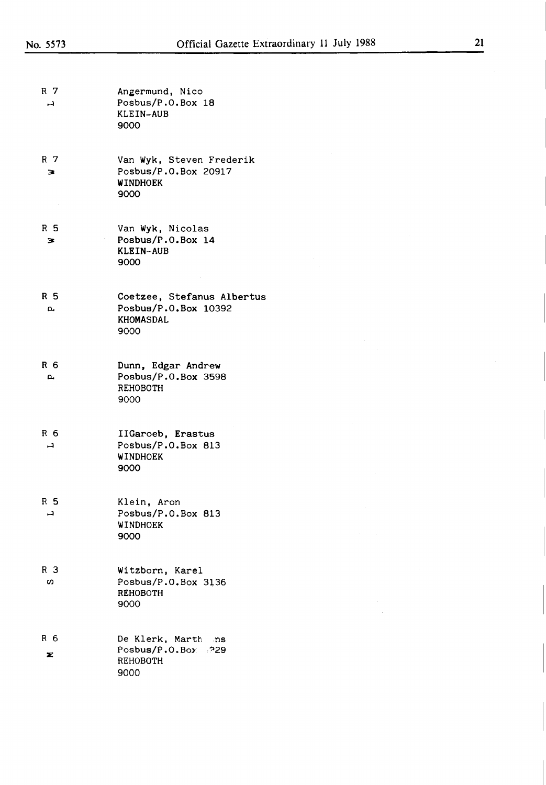| R 7<br>ᆛ            | Angermund, Nico<br>Posbus/P.O.Box 18<br>KLEIN-AUB<br>9000                   |
|---------------------|-----------------------------------------------------------------------------|
| R 7<br>з            | Van Wyk, Steven Frederik<br>Posbus/P.O.Box 20917<br><b>WINDHOEK</b><br>9000 |
| R 5<br>з            | Van Wyk, Nicolas<br>Posbus/P.O.Box 14<br>KLEIN-AUB<br>9000                  |
| R 5<br><b>L</b>     | Coetzee, Stefanus Albertus<br>Posbus/P.O.Box 10392<br>KHOMASDAL<br>9000     |
| R 6<br>д,           | Dunn, Edgar Andrew<br>Posbus/P.O.Box 3598<br>REHOBOTH<br>9000               |
| R <sub>6</sub><br>ᆜ | IIGaroeb, Erastus<br>Posbus/P.O.Box 813<br>WINDHOEK<br>9000                 |
| R 5<br>ᆜ            | Klein, Aron<br>Posbus/P.O.Box 813<br>WINDHOEK<br>9000                       |
| R 3<br>w            | Witzborn, Karel<br>Posbus/P.O.Box 3136<br><b>REHOBOTH</b><br>9000           |
| R <sub>6</sub><br>Σ | De Klerk, Marth ns<br>Posbus/P.O.Box 229<br>REHOBOTH<br>9000                |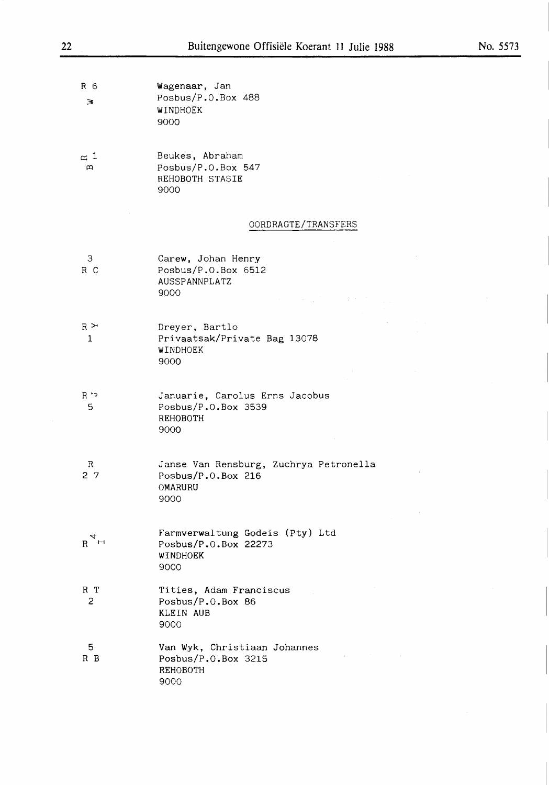$\bar{z}$ 

| Rб | Wagenaar, Jan      |  |
|----|--------------------|--|
| 3  | Posbus/P.O.Box 488 |  |
|    | WINDHOEK           |  |
|    | 9000               |  |

 $\simeq$  1  $\alpha$ Beukes, Abraham Posbus/P.O.Box 547 REHOBOTH STASIE 9000

#### OORDRAGTE/TRANSFERS

| $\mathcal{S}$<br>R C           | Carew, Johan Henry<br>Posbus/P.O.Box 6512<br>AUSSPANNPLATZ<br>9000<br>and the same of the company of |
|--------------------------------|------------------------------------------------------------------------------------------------------|
| $_{\rm R}$ $\thicksim$<br>-1   | Dreyer, Bartlo<br>Privaatsak/Private Bag 13078<br>WINDHOEK<br>9000                                   |
| כי R<br>-5                     | Januarie, Carolus Erns Jacobus<br>Posbus/P.O.Box 3539<br><b>REHOBOTH</b><br>9000                     |
| R<br>27                        | Janse Van Rensburg, Zuchrya Petronella<br>Posbus/ $P.0.Box$ 216<br>OMARURU<br>9000                   |
| $R_{\mathcal{A}}^{\mathsf{H}}$ | Farmverwaltung Godeis (Pty) Ltd<br>Posbus/P.O.Box 22273<br>WINDHOEK<br>9000                          |
| R T<br>2                       | Tities, Adam Franciscus<br>Posbus/P.O.Box 86<br><b>KLEIN AUB</b><br>9000                             |
| 5.<br>R B                      | Van Wyk, Christiaan Johannes<br>Posbus/ $P.0.Box$ 3215<br>REHOBOTH<br>9000                           |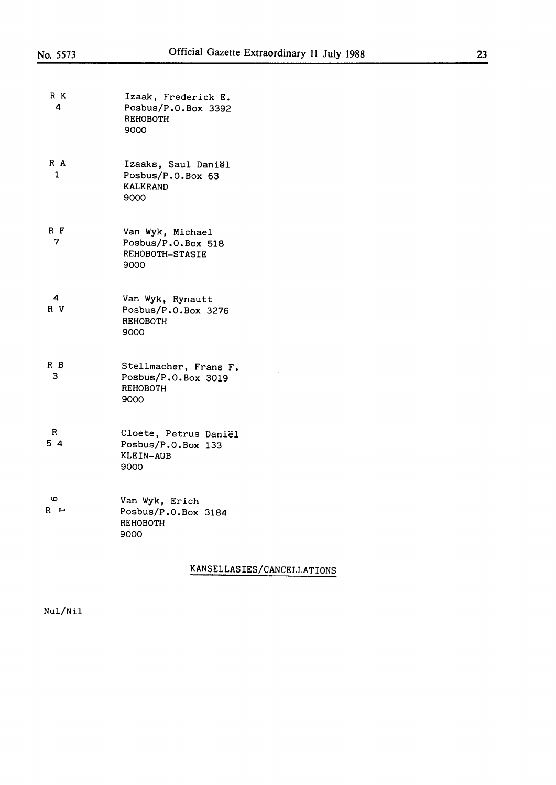| R K<br>4 | Izaak, Frederick E.<br>Posbus/P.O.Box 3392<br>REHOBOTH<br>9000           |
|----------|--------------------------------------------------------------------------|
| R A<br>1 | Izaaks, Saul Daniël<br>Posbus/P.O.Box 63<br><b>KALKRAND</b><br>9000      |
| R F<br>7 | Van Wyk, Michael<br>Posbus/P.O.Box 518<br><b>REHOBOTH-STASIE</b><br>9000 |
| 4<br>R V | Van Wyk, Rynautt<br>Posbus/P.O.Box 3276<br>REHOBOTH<br>9000              |
| R B<br>з | Stellmacher, Frans F.<br>Posbus/P.O.Box 3019<br>REHOBOTH<br>9000         |
| R<br>54  | Cloete, Petrus Daniël<br>Posbus/P.O.Box 133<br>KLEIN-AUB<br>9000         |
| 6<br>R ← | Van Wyk, Erich<br>Posbus/P.O.Box 3184<br>REHOBOTH<br>9000                |

# KANSELLASIES/CANCELLATIONS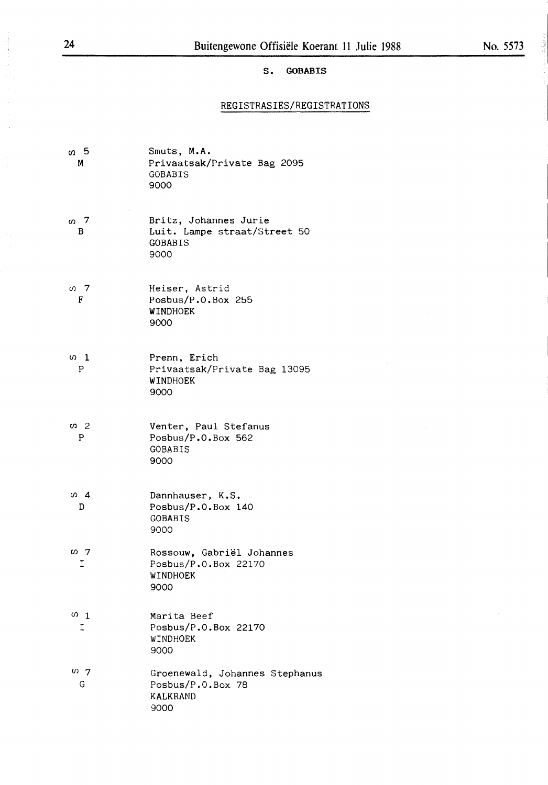#### S. **GOBABIS**

# REGISTRASIES/REGISTRATIONS

| თ 5<br>M        | Smuts, M.A.<br>Privaatsak/Private Bag 2095<br>GOBABIS<br>9000            |
|-----------------|--------------------------------------------------------------------------|
| თ. 7<br>В       | Britz, Johannes Jurie<br>Luit. Lampe straat/Street 50<br>GOBABIS<br>9000 |
| თ 7<br>F        | Heiser, Astrid<br>Posbus/P.O.Box 255<br>WINDHOEK<br>9000                 |
| $\omega$ 1<br>P | Prenn, Erich<br>Privaatsak/Private Bag 13095<br>WINDHOEK<br>9000         |
| ທ 2<br>P        | Venter, Paul Stefanus<br>Posbus/P.O.Box 562<br>GOBABIS<br>9000           |
| ω4<br>D         | Dannhauser, K.S.<br>Posbus/P.O.Box 140<br>GOBABIS<br>9000                |
| თ 7<br>Ι        | Rossouw, Gabriël Johannes<br>Posbus/P.O.Box 22170<br>WINDHOEK<br>9000    |
| $\omega$ 1<br>I | Marita Beef<br>Posbus/P.O.Box 22170<br>WINDHOEK<br>9000                  |
| 0.7<br>G        | Groenewald, Johannes Stephanus<br>Posbus/P.O.Box 78<br>KALKRAND<br>9000  |

Anthycology

 $\epsilon$  -speedware  $\chi$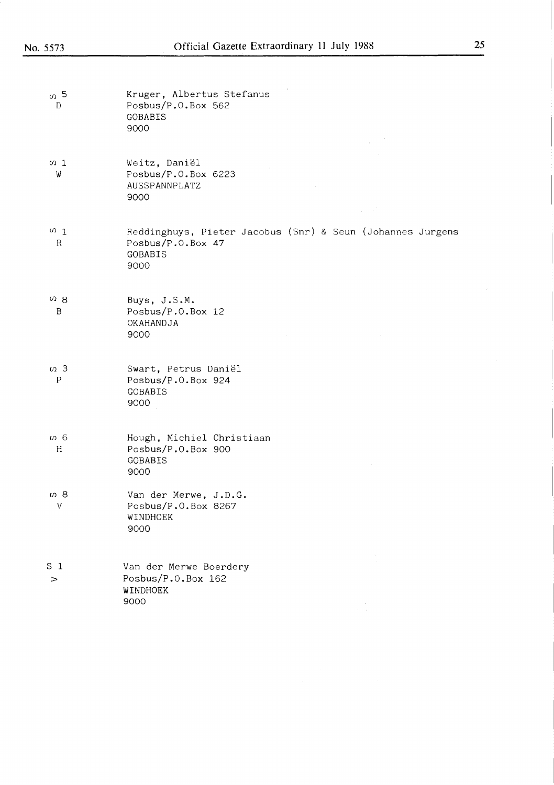| $\sigma$ 5<br>D           | Kruger, Albertus Stefanus<br>Posbus/P.O.Box 562<br>GOBABIS<br>9000                                        |
|---------------------------|-----------------------------------------------------------------------------------------------------------|
| $\omega$ 1<br>W           | Weitz, Daniël<br>Posbus/P.O.Box 6223<br>AUSSPANNPLATZ<br>9000<br>an an                                    |
| $\Omega$ 1<br>R           | Reddinghuys, Pieter Jacobus (Snr) & Seun (Johannes Jurgens<br>Posbus/P.O.Box 47<br><b>GOBABIS</b><br>9000 |
| 08<br>B                   | Buys, J.S.M.<br>Posbus/ $P.0.Box 12$<br>OKAHANDJA<br>9000                                                 |
| $\sigma$ 3<br>$\mathbf P$ | Swart, Petrus Daniël<br>Posbus/P.O.Box 924<br><b>GOBABIS</b><br>9000                                      |
| თ 6<br>H                  | Hough, Michiel Christiaan<br>Posbus/P.O.Box 900<br>GOBABIS<br>9000                                        |
| თ 8<br>V                  | Van der Merwe, J.D.G.<br>Posbus/P.O.Box 8267<br>WINDHOEK<br>9000                                          |
| S <sub>1</sub><br>>       | Van der Merwe Boerdery<br>Posbus/P.O.Box 162<br>WINDHOEK<br>9000                                          |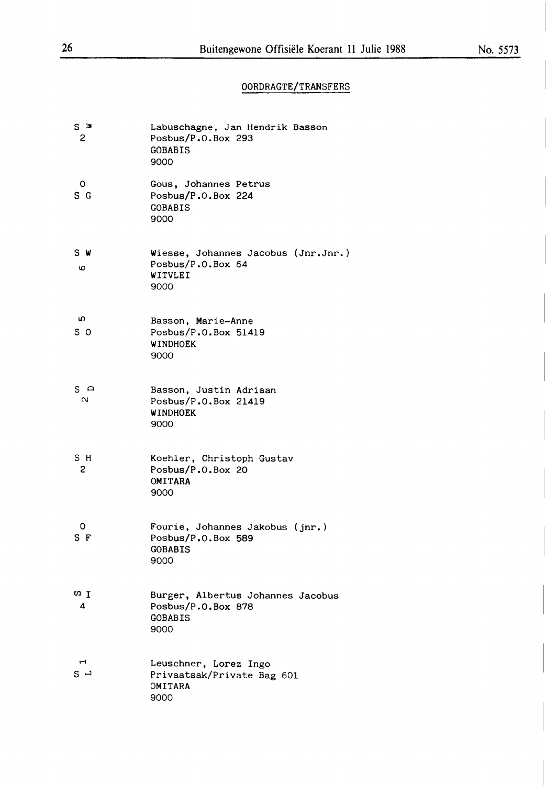# OORDRAGTE/TRANSFERS

| $S \geq$<br>2 | Labuschagne, Jan Hendrik Basson<br>Posbus/P.O.Box 293<br>GOBABIS<br>9000          |
|---------------|-----------------------------------------------------------------------------------|
| O<br>S G      | Gous, Johannes Petrus<br>Posbus/P.O.Box 224<br><b>GOBABIS</b><br>9000             |
| S W<br>6      | Wiesse, Johannes Jacobus (Jnr.Jnr.)<br>Posbus/P.O.Box 64<br>WITVLEI<br>9000       |
| ഗ<br>s o      | Basson, Marie-Anne<br>Posbus/P.O.Box 51419<br>WINDHOEK<br>9000                    |
| s ≏<br>$\sim$ | Basson, Justin Adriaan<br>Posbus/P.O.Box 21419<br>WINDHOEK<br>9000                |
| sн<br>2       | Koehler, Christoph Gustav<br>Posbus/P.O.Box 20<br>OMITARA<br>9000                 |
| 0<br>S F      | Fourie, Johannes Jakobus (jnr.)<br>Posbus/P.O.Box 589<br><b>GOBABIS</b><br>9000   |
| ωI<br>4       | Burger, Albertus Johannes Jacobus<br>Posbus/P.O.Box 878<br><b>GOBABIS</b><br>9000 |
| s →           | Leuschner, Lorez Ingo<br>Privaatsak/Private Bag 601<br>OMITARA<br>9000            |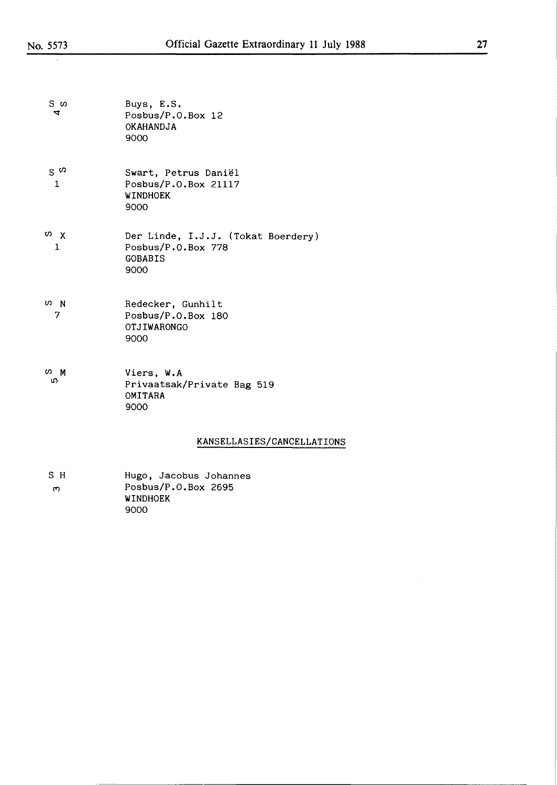J.

| 7 |
|---|
|   |

| S თ<br>4                     | Buys, E.S.<br>Posbus/P.O.Box 12<br>OKAHANDJA<br>9000                               |
|------------------------------|------------------------------------------------------------------------------------|
| $S^{\omega}$<br>$\mathbf{1}$ | Swart, Petrus Daniël<br>Posbus/P.O.Box 21117<br>WINDHOEK<br>9000                   |
| Ω X<br>1                     | Der Linde, I.J.J. (Tokat Boerdery)<br>Posbus/P.O.Box 778<br><b>GOBABIS</b><br>9000 |
| <b>ω</b> N<br>7              | Redecker, Gunhilt<br>Posbus/P.O.Box 180<br>OTJIWARONGO<br>9000                     |
| ທ M<br>ഗ                     | Viers, W.A<br>Privaatsak/Private Bag 519<br>OMITARA<br>9000                        |
|                              | KANSELLASIES/CANCELLATIONS                                                         |
| . .                          |                                                                                    |

| SН | Hugo, Jacobus Johannes |
|----|------------------------|
| ო  | Posbus/P.O.Box 2695    |
|    | WINDHOEK               |
|    | ഹഹ                     |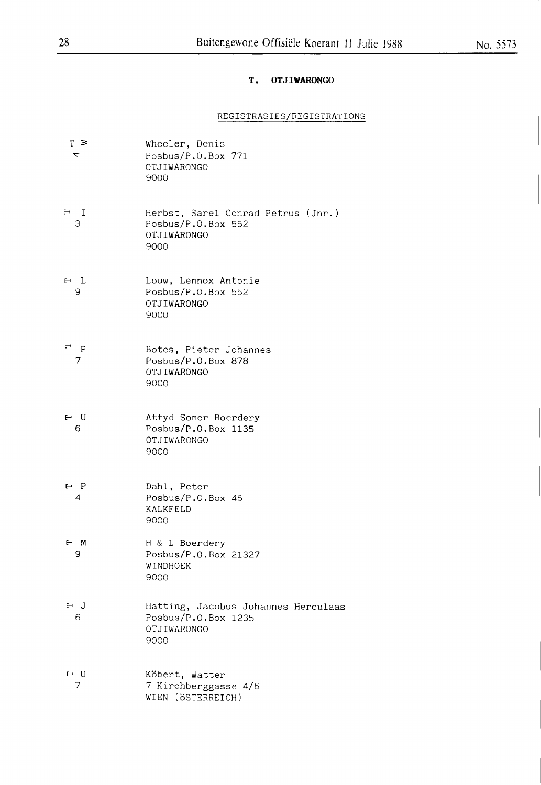# T. **OTJIWARONGO**

# REGISTRASIES/REGISTRATIONS

| $T \geq$<br>4   | Wheeler, Denis<br>Posbus/P.O.Box 771<br>OTJIWARONGO<br>9000                       |
|-----------------|-----------------------------------------------------------------------------------|
| $H$ I<br>З      | Herbst, Sarel Conrad Petrus (Jnr.)<br>Posbus/P.O.Box 552<br>OTJIWARONGO<br>9000   |
| $H$ L<br>9      | Louw, Lennox Antonie<br>Posbus/P.O.Box 552<br>OTJIWARONGO<br>9000                 |
| $F$ $P$<br>7    | Botes, Pieter Johannes<br>Posbus/P.O.Box 878<br>OTJIWARONGO<br>9000               |
| $H$ U<br>6      | Attyd Somer Boerdery<br>Posbus/P.O.Box 1135<br>OTJIWARONGO<br>9000                |
| $\vdash$ P<br>4 | Dahl, Peter<br>Posbus/P.O.Box 46<br><b>KALKFELD</b><br>9000                       |
| ⊢ M<br>9        | H & L Boerdery<br>Posbus/P.O.Box 21327<br>WINDHOEK<br>9000                        |
| ⊢ J<br>6        | Hatting, Jacobus Johannes Herculaas<br>Posbus/P.O.Box 1235<br>OTJIWARONGO<br>9000 |
| ⊢ U<br>7        | Köbert, Watter<br>7 Kirchberggasse 4/6<br>WIEN (ÖSTERREICH)                       |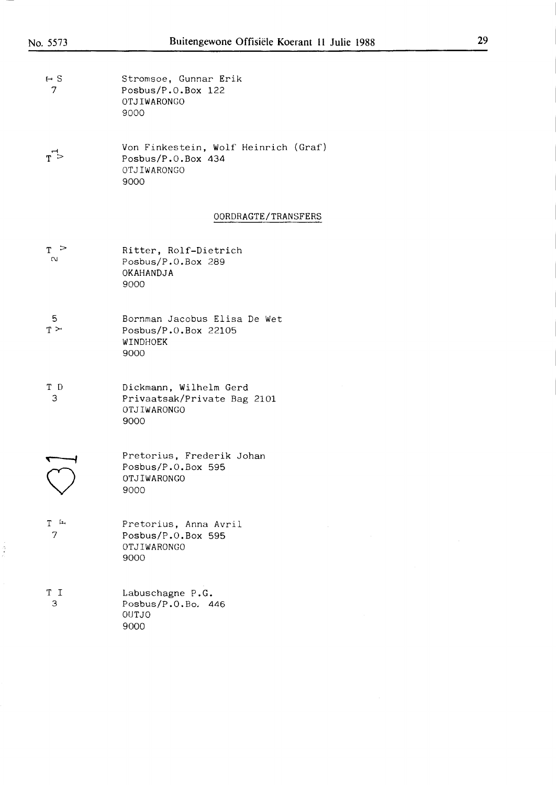| $\vdash$ S | Stromsoe, Gunnar Erik |
|------------|-----------------------|
|            | Posbus/P.0.Box $122$  |
|            | OTJIWARONGO           |
|            | ദറററ                  |

 $T >$ Von Finkestein, Wolf Heinrich (Graf) Posbus/P.O.Box 434 OTJIWARONGO 9000

#### OORDRAGTE/TRANSFERS

| т >    | Ritter, Rolf-Dietrich |
|--------|-----------------------|
| $\sim$ | Posbus/P.0.Box 289    |
|        | OKAHANDJA             |
|        | .9000                 |

- 5  $T \geq$ Bornman Jacobus Elisa De Wet Posbus/P.O.Box 22105 WINDHOEK 9000
- T D 3 Dickmann, Wilhelm Gerd Privaatsak/Private Bag 2101 **OTJIWARONGO**  9000

| ാററ |                                                                |
|-----|----------------------------------------------------------------|
|     | Pretorius, Frederik Johan<br>Posbus/P.O.Box 595<br>OTJIWARONGO |

 $\frac{1}{2}$ 

| T<br>ſщ        | Pretorius, Anna Avril |
|----------------|-----------------------|
| $\overline{7}$ | Posbus/P.0.Box 595    |
|                | OTJIWARONGO           |
|                | ഹററ                   |

| ТT            | Labuschagne P.G.     |
|---------------|----------------------|
| $\mathcal{A}$ | Posbus/P.0.Bo. $446$ |
|               | OUT.IO               |
|               | 9000                 |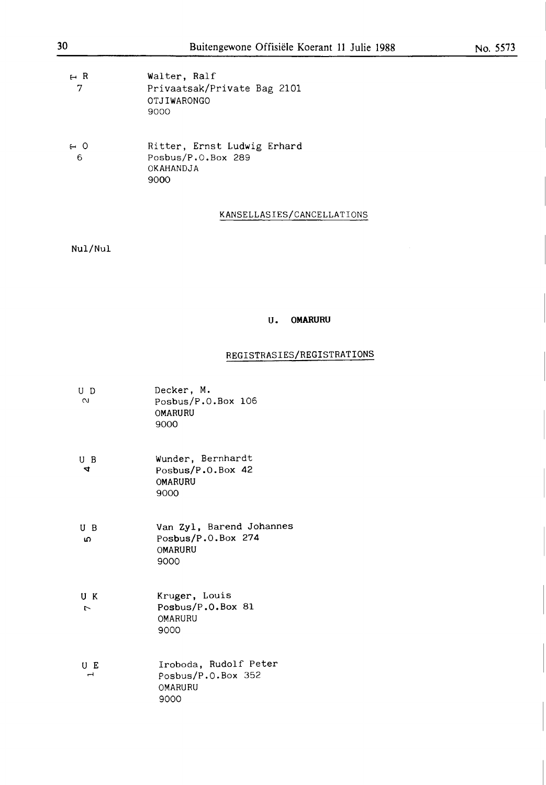| Walter. Ralf |                             |
|--------------|-----------------------------|
|              |                             |
| OTJIWARONGO  |                             |
| 9000         |                             |
|              | Privaatsak/Private Bag 2101 |

| 6 ⊶ | Ritter, Ernst Ludwig Erhard |
|-----|-----------------------------|
| - 6 | Posbus/P.O.Box 289          |
|     | OKAHANDJA                   |
|     | 9000                        |

# **KANSELLASIES/CANCELLATI0NS**

Nul/Nul

#### **U. 0MARURU**

#### REGISTRASIES/REGISTRATIONS

| U D<br>$\sim$        | Decker, M.<br>Posbus/P.O.Box 106<br><b>OMARURU</b><br>9000        |
|----------------------|-------------------------------------------------------------------|
| U B<br>4             | Wunder, Bernhardt<br>Posbus/P.O.Box 42<br>OMARURU<br>9000         |
| U B<br>ഗ             | Van Zyl, Barend Johannes<br>Posbus/P.O.Box 274<br>OMARURU<br>9000 |
| UK<br>$\overline{a}$ | Kruger, Louis<br>Posbus/P.O.Box 81<br>OMARURU<br>9000             |
| UE<br>ᆋ              | Iroboda, Rudolf Peter<br>Posbus/P.O.Box 352<br>OMARURU<br>9000    |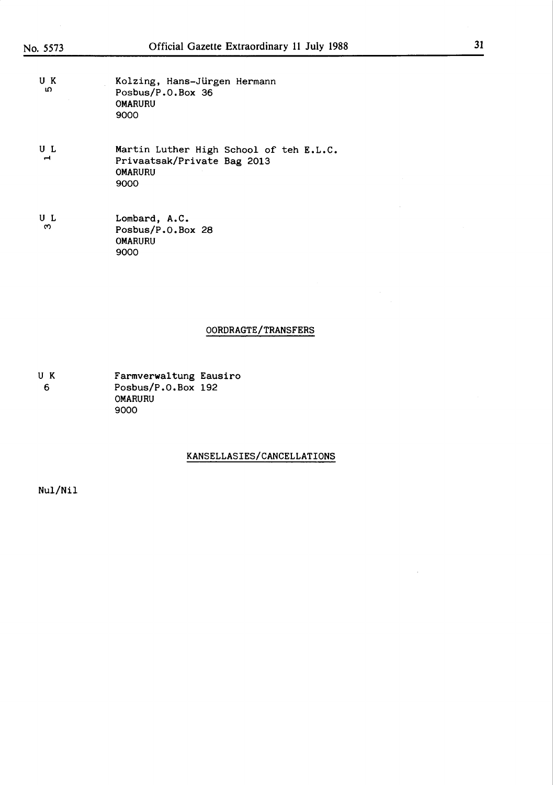| UΚ<br>۱O | Kolzing, Hans-Jürgen Hermann<br>Posbus/P.O.Box 36 |
|----------|---------------------------------------------------|
|          | <b>OMARURU</b><br>9000                            |

 $U L$ Martin Luther High School of teh E.L.C. Privaatsak/Private Bag 2013 0MARURU 9000

U L ັຕ Lombard, A.C. Posbus/P.0.Box 28 0MARURU 9000

#### 00RDRAGTE/TRANSFERS

U K 6 Farmverwaltung Eausiro Posbus/P.0.Box 192 0MARURU 9000

#### KANSELLASIES/CANCELLATI0NS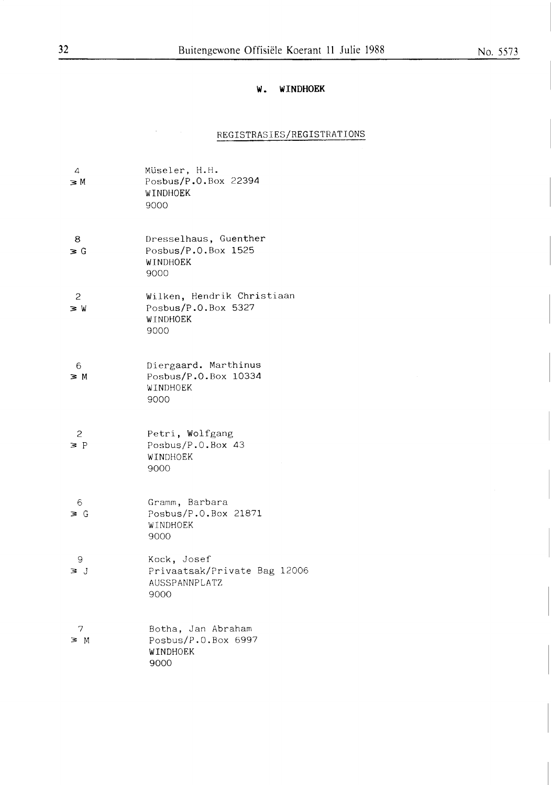## **No. 5573**

## **W. WINDHOEK**

# REGISTRASIES/REGISTRATIONS

| $\overline{4}$<br>зM       | Müseler, H.H.<br>Posbus/P.O.Box 22394<br>WINDHOEK<br>9000             |
|----------------------------|-----------------------------------------------------------------------|
| 8<br>$\geq G$              | Dresselhaus, Guenther<br>Posbus/P.O.Box 1525<br>WINDHOEK<br>9000      |
| 2<br>$\geq W$              | Wilken, Hendrik Christiaan<br>Posbus/P.O.Box 5327<br>WINDHOEK<br>9000 |
| 6<br>$\geq M$              | Diergaard. Marthinus<br>Posbus/P.O.Box 10334<br>WINDHOEK<br>9000      |
| $\overline{c}$<br>$\geq P$ | Petri, Wolfgang<br>Posbus/P.O.Box 43<br>WINDHOEK<br>9000              |
| -6<br>∍ G                  | Gramm, Barbara<br>Posbus/P.O.Box 21871<br>WINDHOEK<br>9000            |
| 9<br>зJ                    | Kock, Josef<br>Privaatsak/Private Bag 12006<br>AUSSPANNPLATZ<br>9000  |
| 7<br>3 M                   | Botha, Jan Abraham<br>Posbus/P.O.Box 6997<br>WINDHOEK<br>9000         |

 $\hat{\mathcal{A}}$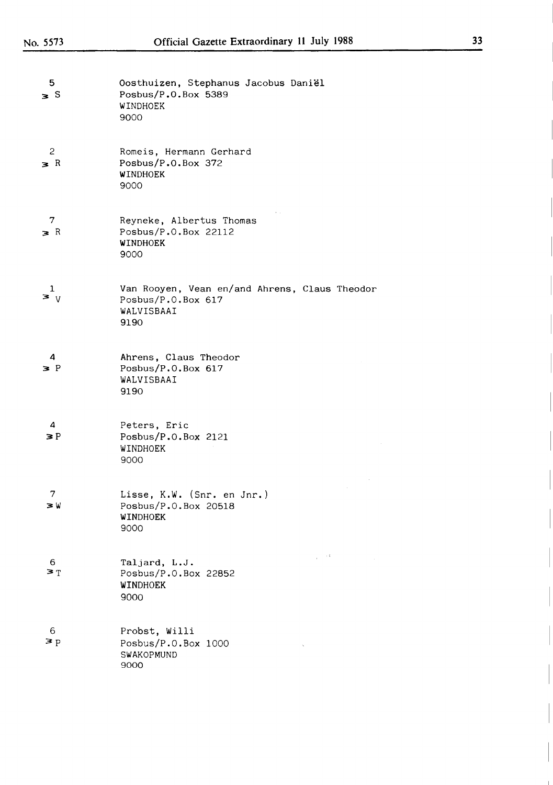| 5<br>$\geq$ S            | Oosthuizen, Stephanus Jacobus Daniël<br>Posbus/P.O.Box 5389<br>WINDHOEK<br>9000           |
|--------------------------|-------------------------------------------------------------------------------------------|
| $\mathbf{2}$<br>$\geq R$ | Romeis, Hermann Gerhard<br>Posbus/ $P.0.Box$ 372<br>WINDHOEK<br>9000                      |
| 7<br>$\ge R$             | Reyneke, Albertus Thomas<br>Posbus/P.O.Box 22112<br>WINDHOEK<br>9000                      |
| $\mathbf{I}$<br>$\geq v$ | Van Rooyen, Vean en/and Ahrens, Claus Theodor<br>Posbus/P.O.Box 617<br>WALVISBAAI<br>9190 |
| 4<br>$\geq P$            | Ahrens, Claus Theodor<br>Posbus/P.O.Box 617<br>WALVISBAAI<br>9190                         |
| 4<br>$\geq P$            | Peters, Eric<br>Posbus/ $P.0.$ Box 2121<br>WINDHOEK<br>9000                               |
| 7<br>зW                  | Lisse, K.W. (Snr. en Jnr.)<br>Posbus/P.O.Box 20518<br>WINDHOEK<br>9000                    |
| 6<br>$\geq$ T            | $\mu \rightarrow 0.4$<br>Taljard, L.J.<br>Posbus/P.O.Box 22852<br>WINDHOEK<br>9000        |
| 6<br>$\geq p$            | Probst, Willi<br>Posbus/P.O.Box 1000<br>SWAKOPMUND<br>9000                                |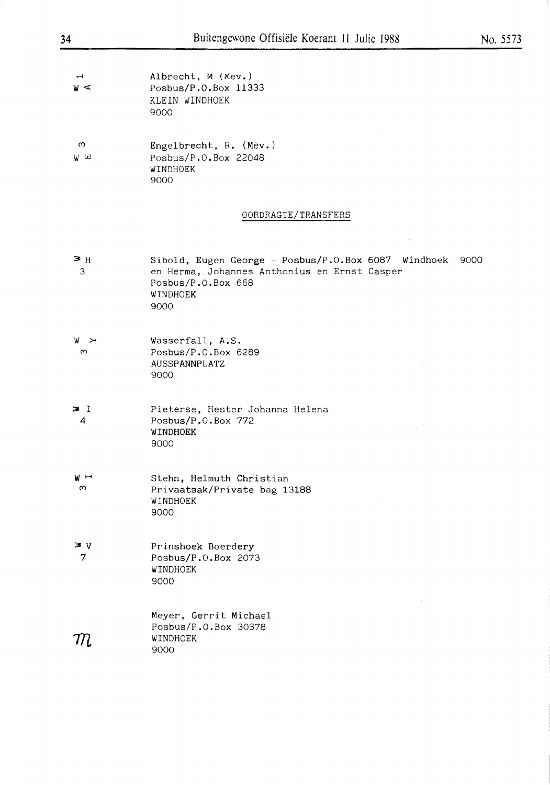Albrecht, M (Mev.)  $\rightarrow$  $W \subset$ Posbus/P.O.Box 11333 KLEIN WINDHOEK 9000

 $\infty$  $W$   $\omega$ Engelbrecht, R. (Mev.) Posbus/P.O.Box 22048 WINDHOEK 9000

#### OORDRAGTE/TRANSFERS

 $\geq$  H Sibold, Eugen George - Posbus/P.O.Box 6087 Windhoek 9000 en Herma, Johannes Anthonius en Ernst Casper 3 Posbus/P.O.Box 668 WINDHOEK 9000 Wasserfall, A.S. **w** >4  $\infty$ Posbus/P.O,Box 6289 AUSSPANNPLATZ 9000  $\geq$  I Pieterse, Hester Johanna Helena Posbus/P.O.Box 772 4  $\mathcal{L}_{\mathcal{L}}$ WINDHOEK 9000  $W$  H Stehn, Helmuth Christian  $\infty$ Privaatsak/Private bag 13188 **WINDHOEK** 

3: V 7 Prinshoek Boerdery Posbus/P.O.Box 2073 WINDHOEK 9000

 $\,\pi$ 

**9000** 

Meyer, Gerrit Michael Posbus/P.O.Box 30378 WINDHOEK 9000